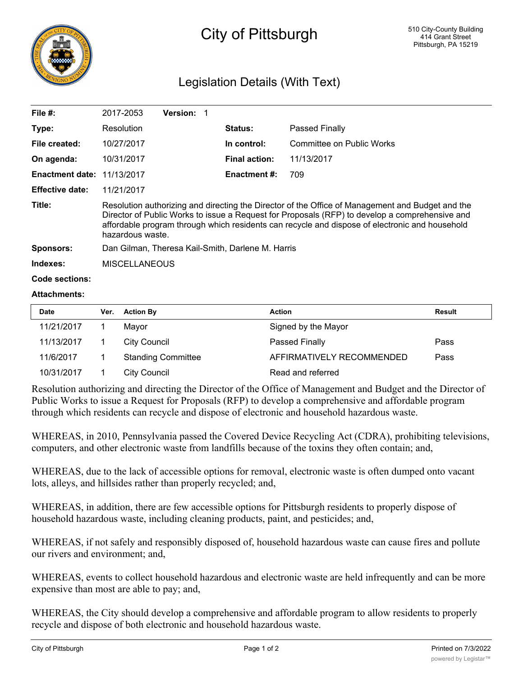

## City of Pittsburgh

## Legislation Details (With Text)

| File $#$ :                        | 2017-2053                                                                                                                                                                                                                                                                                                                | <b>Version:</b> |                      |                           |  |  |
|-----------------------------------|--------------------------------------------------------------------------------------------------------------------------------------------------------------------------------------------------------------------------------------------------------------------------------------------------------------------------|-----------------|----------------------|---------------------------|--|--|
| Type:                             | Resolution                                                                                                                                                                                                                                                                                                               |                 | <b>Status:</b>       | Passed Finally            |  |  |
| File created:                     | 10/27/2017                                                                                                                                                                                                                                                                                                               |                 | In control:          | Committee on Public Works |  |  |
| On agenda:                        | 10/31/2017                                                                                                                                                                                                                                                                                                               |                 | <b>Final action:</b> | 11/13/2017                |  |  |
| <b>Enactment date: 11/13/2017</b> |                                                                                                                                                                                                                                                                                                                          |                 | Enactment #:         | 709                       |  |  |
| <b>Effective date:</b>            | 11/21/2017                                                                                                                                                                                                                                                                                                               |                 |                      |                           |  |  |
| Title:                            | Resolution authorizing and directing the Director of the Office of Management and Budget and the<br>Director of Public Works to issue a Request for Proposals (RFP) to develop a comprehensive and<br>affordable program through which residents can recycle and dispose of electronic and household<br>hazardous waste. |                 |                      |                           |  |  |
| <b>Sponsors:</b>                  | Dan Gilman, Theresa Kail-Smith, Darlene M. Harris                                                                                                                                                                                                                                                                        |                 |                      |                           |  |  |
| Indexes:                          | <b>MISCELLANEOUS</b>                                                                                                                                                                                                                                                                                                     |                 |                      |                           |  |  |
| Code sections:                    |                                                                                                                                                                                                                                                                                                                          |                 |                      |                           |  |  |

## **Attachments:**

| Date       | Ver. | <b>Action By</b>          | <b>Action</b>             | Result |
|------------|------|---------------------------|---------------------------|--------|
| 11/21/2017 |      | Mavor                     | Signed by the Mayor       |        |
| 11/13/2017 |      | City Council              | Passed Finally            | Pass   |
| 11/6/2017  |      | <b>Standing Committee</b> | AFFIRMATIVELY RECOMMENDED | Pass   |
| 10/31/2017 |      | <b>City Council</b>       | Read and referred         |        |

Resolution authorizing and directing the Director of the Office of Management and Budget and the Director of Public Works to issue a Request for Proposals (RFP) to develop a comprehensive and affordable program through which residents can recycle and dispose of electronic and household hazardous waste.

WHEREAS, in 2010, Pennsylvania passed the Covered Device Recycling Act (CDRA), prohibiting televisions, computers, and other electronic waste from landfills because of the toxins they often contain; and,

WHEREAS, due to the lack of accessible options for removal, electronic waste is often dumped onto vacant lots, alleys, and hillsides rather than properly recycled; and,

WHEREAS, in addition, there are few accessible options for Pittsburgh residents to properly dispose of household hazardous waste, including cleaning products, paint, and pesticides; and,

WHEREAS, if not safely and responsibly disposed of, household hazardous waste can cause fires and pollute our rivers and environment; and,

WHEREAS, events to collect household hazardous and electronic waste are held infrequently and can be more expensive than most are able to pay; and,

WHEREAS, the City should develop a comprehensive and affordable program to allow residents to properly recycle and dispose of both electronic and household hazardous waste.